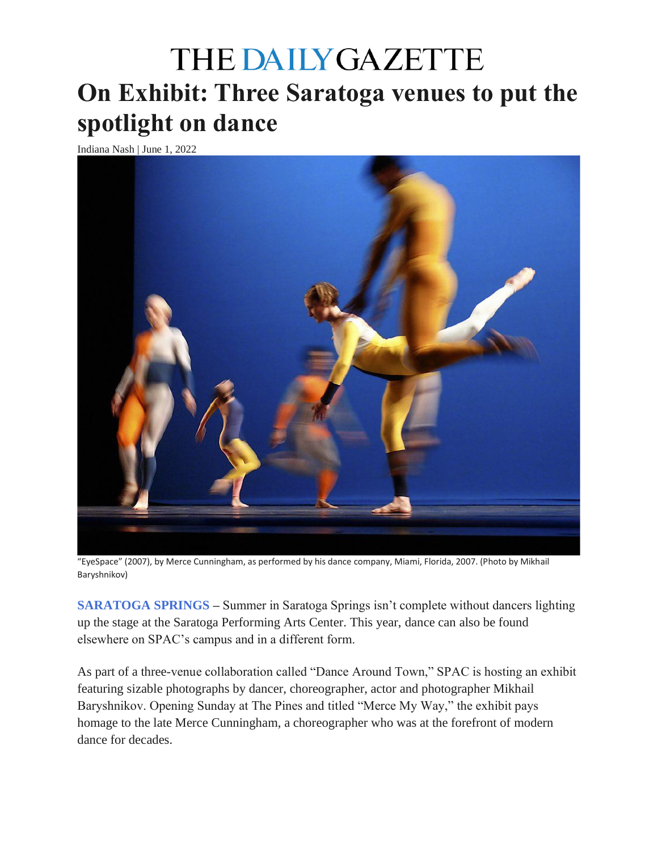## **THE DAILY GAZETTE On Exhibit: Three Saratoga venues to put the spotlight on dance**

Indiana Nash | June 1, 2022



"EyeSpace" (2007), by Merce Cunningham, as performed by his dance company, Miami, Florida, 2007. (Photo by Mikhail Baryshnikov)

**[SARATOGA SPRINGS](https://dailygazette.com/category/saratoga-springs/) –** Summer in Saratoga Springs isn't complete without dancers lighting up the stage at the Saratoga Performing Arts Center. This year, dance can also be found elsewhere on SPAC's campus and in a different form.

As part of a three-venue collaboration called "Dance Around Town," SPAC is hosting an exhibit featuring sizable photographs by dancer, choreographer, actor and photographer Mikhail Baryshnikov. Opening Sunday at The Pines and titled "Merce My Way," the exhibit pays homage to the late Merce Cunningham, a choreographer who was at the forefront of modern dance for decades.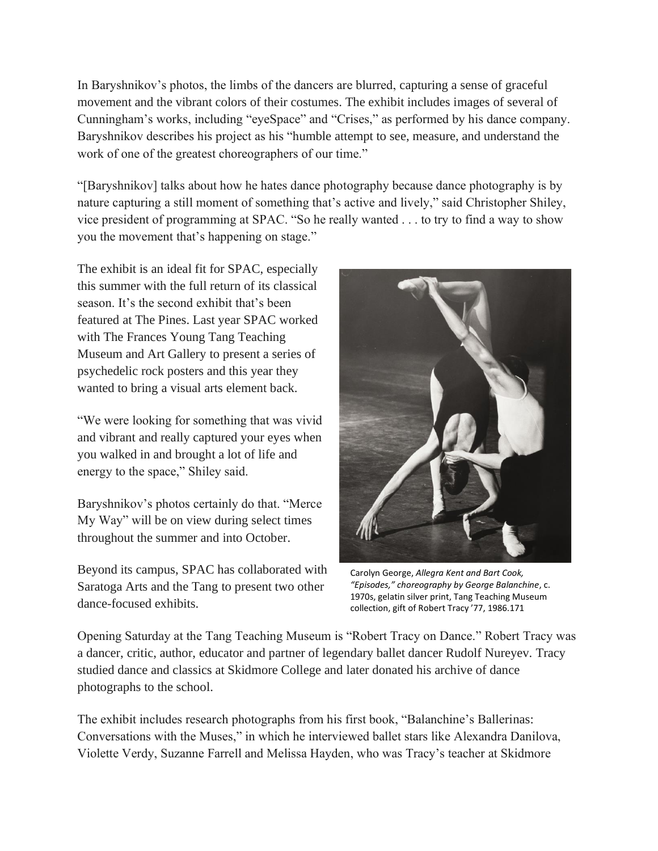In Baryshnikov's photos, the limbs of the dancers are blurred, capturing a sense of graceful movement and the vibrant colors of their costumes. The exhibit includes images of several of Cunningham's works, including "eyeSpace" and "Crises," as performed by his dance company. Baryshnikov describes his project as his "humble attempt to see, measure, and understand the work of one of the greatest choreographers of our time."

"[Baryshnikov] talks about how he hates dance photography because dance photography is by nature capturing a still moment of something that's active and lively," said Christopher Shiley, vice president of programming at SPAC. "So he really wanted . . . to try to find a way to show you the movement that's happening on stage."

The exhibit is an ideal fit for SPAC, especially this summer with the full return of its classical season. It's the second exhibit that's been featured at The Pines. Last year SPAC worked with The Frances Young Tang Teaching Museum and Art Gallery to present a series of psychedelic rock posters and this year they wanted to bring a visual arts element back.

"We were looking for something that was vivid and vibrant and really captured your eyes when you walked in and brought a lot of life and energy to the space," Shiley said.

Baryshnikov's photos certainly do that. "Merce My Way" will be on view during select times throughout the summer and into October.

Beyond its campus, SPAC has collaborated with Saratoga Arts and the Tang to present two other dance-focused exhibits.



Carolyn George, *Allegra Kent and Bart Cook, "Episodes," choreography by George Balanchine*, c. 1970s, gelatin silver print, Tang Teaching Museum collection, gift of Robert Tracy '77, 1986.171

Opening Saturday at the Tang Teaching Museum is "Robert Tracy on Dance." Robert Tracy was a dancer, critic, author, educator and partner of legendary ballet dancer Rudolf Nureyev. Tracy studied dance and classics at Skidmore College and later donated his archive of dance photographs to the school.

The exhibit includes research photographs from his first book, "Balanchine's Ballerinas: Conversations with the Muses," in which he interviewed ballet stars like Alexandra Danilova, Violette Verdy, Suzanne Farrell and Melissa Hayden, who was Tracy's teacher at Skidmore